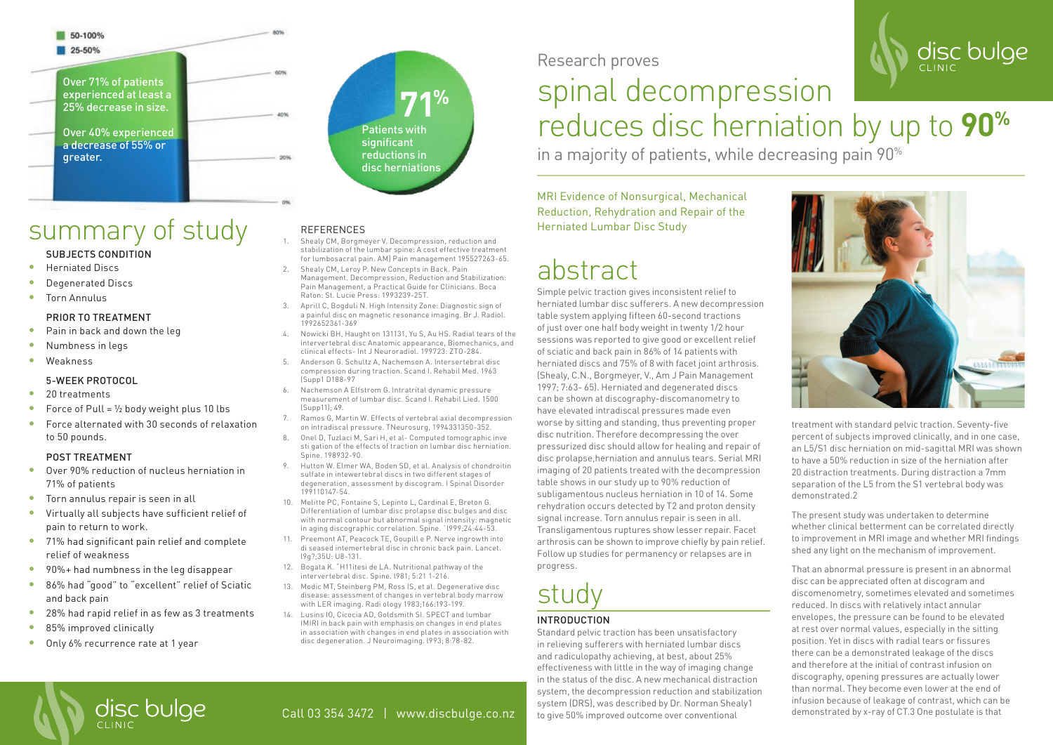### 50-100%

25-50%

Over 71% of patients experienced at least a 25% decrease in size.

Over 40% experienced a decrease of 55% or greater.



1. Shealy CM, Borgmeyer V. Decompression, reduction and stabilization of the lumbar spine: A cost effective treatment for lumbosacral pain. AM] Pain management 195527263-65.

Management. Decompression, Reduction and Stabilization: Pain Management, a Practical Guide for Clinicians. Boca

3. Aprill C, Bogduli N. High Intensity Zone: Diagnostic sign of a painful disc on magnetic resonance imaging. Br J. Radiol.

4. Nowicki BH, Haught on 131131, Yu S, Au HS. Radial tears of the intervertebral disc Anatomic appearance, Biomechanics, and clinical effects- Int J Neuroradiol. 199723: ZTO-284. 5. Anderson G. Schultz A, Nachemson A. Intersertebral disc compression during traction. Scand I. Rehabil Med. 1963

6. Nachemson A Elfstrom G. Intratrital dynamic pressure measurement of lumbar disc. Scand I. Rehabil Lied. 1500

7. Ramos G, Martin W. Effects of vertebral axial decompression on intradiscal pressure. TNeurosurg, 1994331350-352. 8. Onel D, Tuzlaci M, Sari H, et al- Computed tomographic inve sti gation of the effects of traction on lumbar disc herniation.

9. Hutton W. Elmer WA, Boden SD, et al. Analysis of chondroitin sulfate in intewertebral discs in two different stages of degeneration, assessment by discogram. I Spinal Disorder

10. Melitte PC, Fontaine S, Lepinto L, Cardinal E, Breton G. Differentiation of lumbar disc prolapse disc bulges and disc with normal contour but abnormal signal intensity: magnetic in aging discographic correlation. Spine. 'l999;24:44-53. 11. Preemont AT, Peacock TE, Goupill e P. Nerve ingrowth into di seased intemertebral disc in chronic back pain. Lancet.

12. Bogata K. "H11itesi de LA. Nutritional pathway of the intervertebral disc. Spine. l981; 5:21 1-216. 13. Modic MT, Steinberg PM, Ross IS, et al. Degenerative disc disease: assessment of changes in vertebral body marrow with LER imaging. Radi ology 1983;166:193-199. 14. Lusins IO, Cicocia AD, Goldsmith SI. SPECT and lumbar IMIRI in back pain with emphasis on changes in end plates in association with changes in end plates in association with disc degeneration. J Neuroimaging. l993; 8:78-82.

2. Shealy CM, Leroy P. New Concepts in Back. Pain

Raton: St. Lucie Press: 1993239-25T.

1992652361-369

(Supp1 D188-97

Spine. 198932-90.

199110147-54.

l9g?;35U: U8-131.

(Supp11); 49.

### summary of study SUBJECTS CONDITION

- Herniated Discs
- Degenerated Discs
- Torn Annulus

### PRIOR TO TREATMENT

- Pain in back and down the leg
- Numbness in legs
- **Weakness**

### 5-WEEK PROTOCOL

- 20 treatments
- Force of Pull =  $1/2$  body weight plus 10 lbs
- Force alternated with 30 seconds of relaxation to 50 pounds.

### POST TREATMENT

- Over 90% reduction of nucleus herniation in 71% of patients
- Torn annulus repair is seen in all
- Virtually all subjects have sufficient relief of pain to return to work.
- 71% had significant pain relief and complete relief of weakness
- 90%+ had numbness in the leg disappear
- 86% had "good" to "excellent" relief of Sciatic and back pain
- 28% had rapid relief in as few as 3 treatments
- 85% improved clinically
- Only 6% recurrence rate at 1 year

Research proves

## spinal decompression reduces disc herniation by up to **90%**

in a majority of patients, while decreasing pain 90%

MRI Evidence of Nonsurgical, Mechanical Reduction, Rehydration and Repair of the REFERENCES **Herniated Lumbar Disc Study** 

### abstract

Simple pelvic traction gives inconsistent relief to herniated lumbar disc sufferers. A new decompression table system applying fifteen 60-second tractions of just over one half body weight in twenty 1/2 hour sessions was reported to give good or excellent relief of sciatic and back pain in 86% of 14 patients with herniated discs and 75% of 8 with facet joint arthrosis. (Shealy, C.N., Borgmeyer, V., Am J Pain Management 1997; 7:63- 65). Herniated and degenerated discs can be shown at discography-discomanometry to have elevated intradiscal pressures made even worse by sitting and standing, thus preventing proper disc nutrition. Therefore decompressing the over pressurized disc should allow for healing and repair of disc prolapse,herniation and annulus tears. Serial MRI imaging of 20 patients treated with the decompression table shows in our study up to 90% reduction of subligamentous nucleus herniation in 10 of 14. Some rehydration occurs detected by T2 and proton density signal increase. Torn annulus repair is seen in all. Transligamentous ruptures show lesser repair. Facet arthrosis can be shown to improve chiefly by pain relief. Follow up studies for permanency or relapses are in progress.

# stud

### INTRODUCTION

Standard pelvic traction has been unsatisfactory in relieving sufferers with herniated lumbar discs and radiculopathy achieving, at best, about 25% effectiveness with little in the way of imaging change in the status of the disc. A new mechanical distraction system, the decompression reduction and stabilization system (DRS), was described by Dr. Norman Shealy1 to give 50% improved outcome over conventional



disc bulge

treatment with standard pelvic traction. Seventy-five percent of subjects improved clinically, and in one case, an L5/S1 disc herniation on mid-sagittal MRI was shown to have a 50% reduction in size of the herniation after 20 distraction treatments. During distraction a 7mm separation of the L5 from the S1 vertebral body was demonstrated.2

The present study was undertaken to determine whether clinical betterment can be correlated directly to improvement in MRI image and whether MRI findings shed any light on the mechanism of improvement.

That an abnormal pressure is present in an abnormal disc can be appreciated often at discogram and discomenometry, sometimes elevated and sometimes reduced. In discs with relatively intact annular envelopes, the pressure can be found to be elevated at rest over normal values, especially in the sitting position. Yet in discs with radial tears or fissures there can be a demonstrated leakage of the discs and therefore at the initial of contrast infusion on discography, opening pressures are actually lower than normal. They become even lower at the end of infusion because of leakage of contrast, which can be demonstrated by x-ray of CT.3 One postulate is that



### Call 03 354 3472 | www.discbulge.co.nz